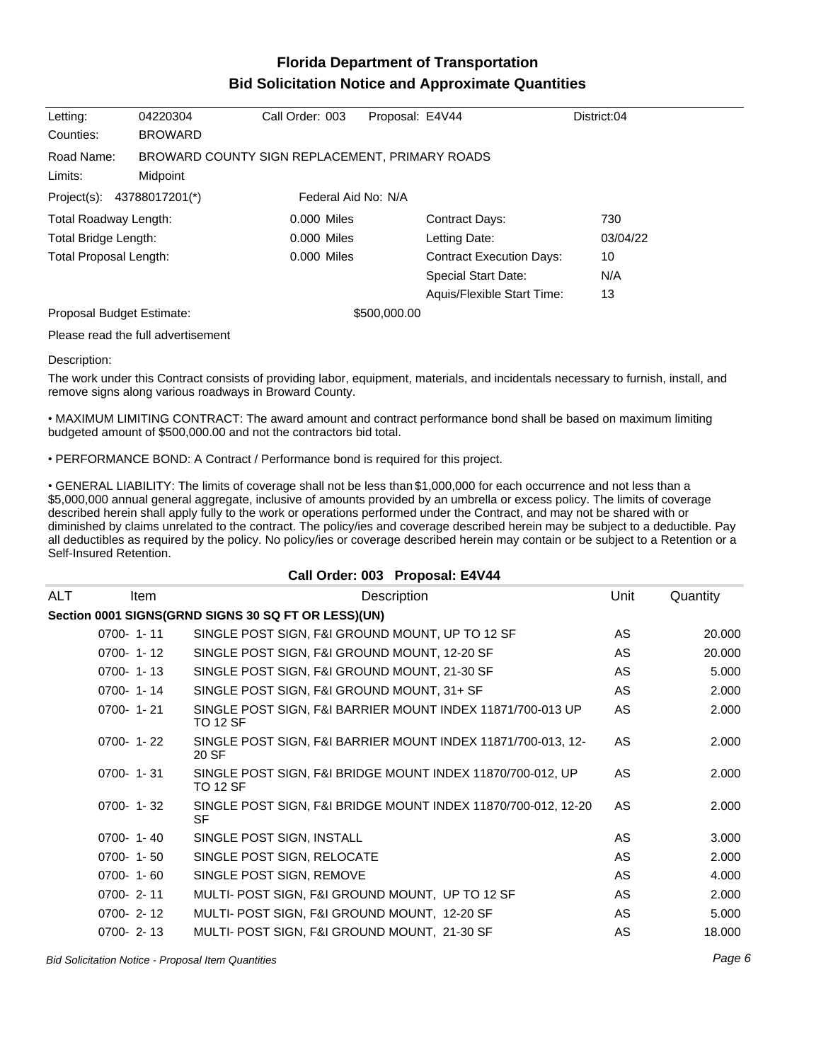## **Florida Department of Transportation Bid Solicitation Notice and Approximate Quantities**

| Letting:                                                     | 04220304       | Call Order: 003     | Proposal: E4V44 |                                 | District:04 |
|--------------------------------------------------------------|----------------|---------------------|-----------------|---------------------------------|-------------|
| Counties:                                                    | <b>BROWARD</b> |                     |                 |                                 |             |
| Road Name:<br>BROWARD COUNTY SIGN REPLACEMENT, PRIMARY ROADS |                |                     |                 |                                 |             |
| Limits:                                                      | Midpoint       |                     |                 |                                 |             |
| 43788017201(*)<br>Project(s):                                |                | Federal Aid No: N/A |                 |                                 |             |
| <b>Total Roadway Length:</b>                                 |                | 0.000 Miles         |                 | <b>Contract Days:</b>           | 730         |
| Total Bridge Length:                                         |                | 0.000 Miles         |                 | Letting Date:                   | 03/04/22    |
| <b>Total Proposal Length:</b>                                |                | 0.000 Miles         |                 | <b>Contract Execution Days:</b> | 10          |
|                                                              |                |                     |                 | Special Start Date:             | N/A         |
|                                                              |                |                     |                 | Aquis/Flexible Start Time:      | 13          |
| Proposal Budget Estimate:                                    |                |                     | \$500,000.00    |                                 |             |
| Please read the full advertisement                           |                |                     |                 |                                 |             |

Description:

The work under this Contract consists of providing labor, equipment, materials, and incidentals necessary to furnish, install, and remove signs along various roadways in Broward County.

MAXIMUM LIMITING CONTRACT: The award amount and contract performance bond shall be based on maximum limiting budgeted amount of \$500,000.00 and not the contractors bid total.

PERFORMANCE BOND: A Contract / Performance bond is required for this project.

GENERAL LIABILITY: The limits of coverage shall not be less than \$1,000,000 for each occurrence and not less than a \$5,000,000 annual general aggregate, inclusive of amounts provided by an umbrella or excess policy. The limits of coverage described herein shall apply fully to the work or operations performed under the Contract, and may not be shared with or diminished by claims unrelated to the contract. The policy/ies and coverage described herein may be subject to a deductible. Pay all deductibles as required by the policy. No policy/ies or coverage described herein may contain or be subject to a Retention or a Self-Insured Retention.

|     |                 |                                                                               | Call Order: 003 Proposal: E4V44                               |           |          |
|-----|-----------------|-------------------------------------------------------------------------------|---------------------------------------------------------------|-----------|----------|
| ALT | Item            |                                                                               | Description                                                   | Unit      | Quantity |
|     |                 | Section 0001 SIGNS(GRND SIGNS 30 SQ FT OR LESS)(UN)                           |                                                               |           |          |
|     | $0700 - 1 - 11$ | SINGLE POST SIGN, F&I GROUND MOUNT, UP TO 12 SF                               |                                                               | AS.       | 20,000   |
|     | $0700 - 1 - 12$ | SINGLE POST SIGN, F&I GROUND MOUNT, 12-20 SF                                  |                                                               | <b>AS</b> | 20,000   |
|     | $0700 - 1 - 13$ | SINGLE POST SIGN, F&I GROUND MOUNT, 21-30 SF                                  |                                                               | <b>AS</b> | 5.000    |
|     | $0700 - 1 - 14$ | SINGLE POST SIGN, F&I GROUND MOUNT, 31+ SF                                    |                                                               | AS.       | 2.000    |
|     | $0700 - 1 - 21$ | SINGLE POST SIGN, F&I BARRIER MOUNT INDEX 11871/700-013 UP<br><b>TO 12 SF</b> |                                                               | <b>AS</b> | 2.000    |
|     | $0700 - 1 - 22$ | SINGLE POST SIGN, F&I BARRIER MOUNT INDEX 11871/700-013, 12-<br>20 SF         |                                                               | AS.       | 2.000    |
|     | $0700 - 1 - 31$ | SINGLE POST SIGN, F&I BRIDGE MOUNT INDEX 11870/700-012, UP<br><b>TO 12 SF</b> |                                                               | AS.       | 2.000    |
|     | $0700 - 1 - 32$ | <b>SF</b>                                                                     | SINGLE POST SIGN, F&I BRIDGE MOUNT INDEX 11870/700-012, 12-20 | AS.       | 2.000    |
|     | $0700 - 1 - 40$ | SINGLE POST SIGN, INSTALL                                                     |                                                               | AS.       | 3.000    |
|     | $0700 - 1 - 50$ | SINGLE POST SIGN, RELOCATE                                                    |                                                               | AS.       | 2.000    |
|     | $0700 - 1 - 60$ | SINGLE POST SIGN, REMOVE                                                      |                                                               | <b>AS</b> | 4.000    |
|     | $0700 - 2 - 11$ | MULTI- POST SIGN, F&I GROUND MOUNT, UP TO 12 SF                               |                                                               | AS.       | 2.000    |
|     | $0700 - 2 - 12$ | MULTI- POST SIGN, F&I GROUND MOUNT, 12-20 SF                                  |                                                               | AS.       | 5.000    |
|     | $0700 - 2 - 13$ | MULTI- POST SIGN, F&I GROUND MOUNT, 21-30 SF                                  |                                                               | <b>AS</b> | 18.000   |

Bid Solicitation Notice - Proposal Item Quantities Page 6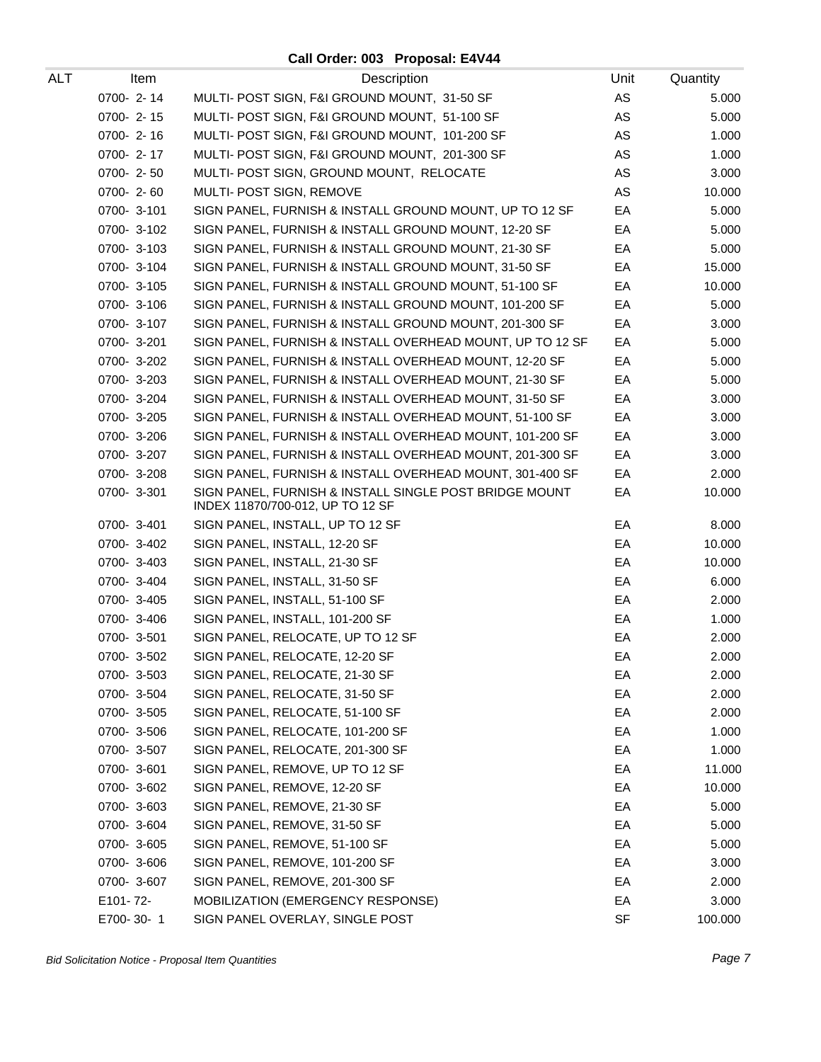## **Call Order: 003 Proposal: E4V44**

| ALT | Item            | Description                                                                                | Unit | Quantity |
|-----|-----------------|--------------------------------------------------------------------------------------------|------|----------|
|     | 0700-2-14       | MULTI- POST SIGN, F&I GROUND MOUNT, 31-50 SF                                               | AS   | 5.000    |
|     | 0700-2-15       | MULTI- POST SIGN, F&I GROUND MOUNT, 51-100 SF                                              | AS   | 5.000    |
|     | 0700-2-16       | MULTI- POST SIGN, F&I GROUND MOUNT, 101-200 SF                                             | AS   | 1.000    |
|     | $0700 - 2 - 17$ | MULTI- POST SIGN, F&I GROUND MOUNT, 201-300 SF                                             | AS   | 1.000    |
|     | $0700 - 2 - 50$ | MULTI- POST SIGN, GROUND MOUNT, RELOCATE                                                   | AS   | 3.000    |
|     | 0700-2-60       | MULTI- POST SIGN, REMOVE                                                                   | AS   | 10.000   |
|     | 0700-3-101      | SIGN PANEL, FURNISH & INSTALL GROUND MOUNT, UP TO 12 SF                                    | EA   | 5.000    |
|     | 0700-3-102      | SIGN PANEL, FURNISH & INSTALL GROUND MOUNT, 12-20 SF                                       | EA   | 5.000    |
|     | 0700-3-103      | SIGN PANEL, FURNISH & INSTALL GROUND MOUNT, 21-30 SF                                       | EA   | 5.000    |
|     | 0700-3-104      | SIGN PANEL, FURNISH & INSTALL GROUND MOUNT, 31-50 SF                                       | EA   | 15.000   |
|     | 0700-3-105      | SIGN PANEL, FURNISH & INSTALL GROUND MOUNT, 51-100 SF                                      | EA   | 10.000   |
|     | 0700-3-106      | SIGN PANEL, FURNISH & INSTALL GROUND MOUNT, 101-200 SF                                     | EA   | 5.000    |
|     | 0700-3-107      | SIGN PANEL, FURNISH & INSTALL GROUND MOUNT, 201-300 SF                                     | EA   | 3.000    |
|     | 0700-3-201      | SIGN PANEL, FURNISH & INSTALL OVERHEAD MOUNT, UP TO 12 SF                                  | EA   | 5.000    |
|     | 0700-3-202      | SIGN PANEL, FURNISH & INSTALL OVERHEAD MOUNT, 12-20 SF                                     | EA   | 5.000    |
|     | 0700-3-203      | SIGN PANEL, FURNISH & INSTALL OVERHEAD MOUNT, 21-30 SF                                     | EA   | 5.000    |
|     | 0700-3-204      | SIGN PANEL, FURNISH & INSTALL OVERHEAD MOUNT, 31-50 SF                                     | EA   | 3.000    |
|     | 0700-3-205      | SIGN PANEL, FURNISH & INSTALL OVERHEAD MOUNT, 51-100 SF                                    | EA   | 3.000    |
|     | 0700-3-206      | SIGN PANEL, FURNISH & INSTALL OVERHEAD MOUNT, 101-200 SF                                   | EA   | 3.000    |
|     | 0700-3-207      | SIGN PANEL, FURNISH & INSTALL OVERHEAD MOUNT, 201-300 SF                                   | EA   | 3.000    |
|     | 0700-3-208      | SIGN PANEL, FURNISH & INSTALL OVERHEAD MOUNT, 301-400 SF                                   | EA   | 2.000    |
|     | 0700-3-301      | SIGN PANEL, FURNISH & INSTALL SINGLE POST BRIDGE MOUNT<br>INDEX 11870/700-012, UP TO 12 SF | EA   | 10.000   |
|     | 0700-3-401      | SIGN PANEL, INSTALL, UP TO 12 SF                                                           | EA   | 8.000    |
|     | 0700-3-402      | SIGN PANEL, INSTALL, 12-20 SF                                                              | EA   | 10.000   |
|     | 0700-3-403      | SIGN PANEL, INSTALL, 21-30 SF                                                              | EA   | 10.000   |
|     | 0700-3-404      | SIGN PANEL, INSTALL, 31-50 SF                                                              | EA   | 6.000    |
|     | 0700-3-405      | SIGN PANEL, INSTALL, 51-100 SF                                                             | EA   | 2.000    |
|     | 0700-3-406      | SIGN PANEL, INSTALL, 101-200 SF                                                            | EA   | 1.000    |
|     | 0700-3-501      | SIGN PANEL, RELOCATE, UP TO 12 SF                                                          | EA   | 2.000    |
|     | 0700-3-502      | SIGN PANEL, RELOCATE, 12-20 SF                                                             | EA   | 2.000    |
|     | 0700-3-503      | SIGN PANEL, RELOCATE, 21-30 SF                                                             | ЕA   | 2.000    |
|     | 0700-3-504      | SIGN PANEL, RELOCATE, 31-50 SF                                                             | EA   | 2.000    |
|     | 0700-3-505      | SIGN PANEL, RELOCATE, 51-100 SF                                                            | EA   | 2.000    |
|     | 0700-3-506      | SIGN PANEL, RELOCATE, 101-200 SF                                                           | EA   | 1.000    |
|     | 0700-3-507      | SIGN PANEL, RELOCATE, 201-300 SF                                                           | EA   | 1.000    |
|     | 0700-3-601      | SIGN PANEL, REMOVE, UP TO 12 SF                                                            | EA   | 11.000   |
|     | 0700-3-602      | SIGN PANEL, REMOVE, 12-20 SF                                                               | EA   | 10.000   |
|     | 0700-3-603      | SIGN PANEL, REMOVE, 21-30 SF                                                               | EA   | 5.000    |
|     | 0700-3-604      | SIGN PANEL, REMOVE, 31-50 SF                                                               | EA   | 5.000    |
|     | 0700-3-605      | SIGN PANEL, REMOVE, 51-100 SF                                                              | EA   | 5.000    |
|     | 0700-3-606      | SIGN PANEL, REMOVE, 101-200 SF                                                             | EA   | 3.000    |
|     | 0700-3-607      | SIGN PANEL, REMOVE, 201-300 SF                                                             | EA   | 2.000    |
|     | E101-72-        | MOBILIZATION (EMERGENCY RESPONSE)                                                          | EA   | 3.000    |
|     | E700-30-1       | SIGN PANEL OVERLAY, SINGLE POST                                                            | SF   | 100.000  |